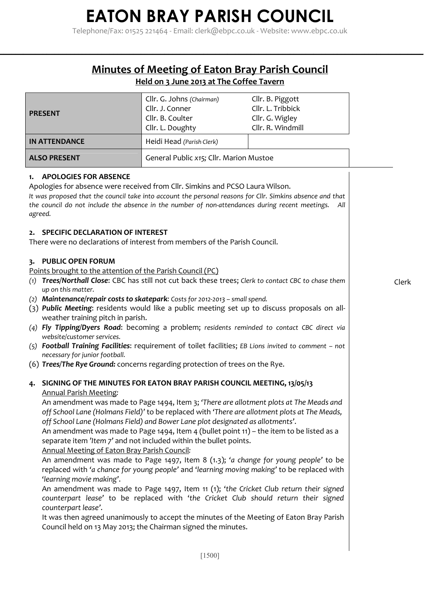Telephone/Fax: 01525 221464 - Email: clerk@ebpc.co.uk - Website: www.ebpc.co.uk

### **Minutes of Meeting of Eaton Bray Parish Council**

**\_\_\_\_\_\_\_\_\_\_\_\_\_\_\_\_\_\_\_\_\_\_\_\_\_\_\_\_\_\_\_\_\_\_\_\_\_\_\_\_\_\_\_\_\_\_\_\_\_\_\_\_\_\_\_\_\_\_\_\_\_\_\_\_\_\_\_\_\_\_\_\_\_\_\_\_\_\_\_\_\_\_\_\_\_\_\_\_\_\_\_\_\_\_\_\_\_\_\_\_\_\_\_\_\_\_\_\_**

#### **Held on 3 June 2013 at The Coffee Tavern**

| <b>PRESENT</b>                                                                                                                                                                                                                                                                                                                                                                                                                                                                                                                                                                                                                                                                                                                                                                                      | Cllr. G. Johns (Chairman)<br>Cllr. J. Conner<br>Cllr. B. Coulter<br>Cllr. L. Doughty | Cllr. B. Piggott<br>Cllr. L. Tribbick<br>Cllr. G. Wigley<br>Cllr. R. Windmill                                                                                                                                                                                                                                                                                                                                                                                                                                                                                                                                                                                                                                                                           |       |
|-----------------------------------------------------------------------------------------------------------------------------------------------------------------------------------------------------------------------------------------------------------------------------------------------------------------------------------------------------------------------------------------------------------------------------------------------------------------------------------------------------------------------------------------------------------------------------------------------------------------------------------------------------------------------------------------------------------------------------------------------------------------------------------------------------|--------------------------------------------------------------------------------------|---------------------------------------------------------------------------------------------------------------------------------------------------------------------------------------------------------------------------------------------------------------------------------------------------------------------------------------------------------------------------------------------------------------------------------------------------------------------------------------------------------------------------------------------------------------------------------------------------------------------------------------------------------------------------------------------------------------------------------------------------------|-------|
| <b>IN ATTENDANCE</b>                                                                                                                                                                                                                                                                                                                                                                                                                                                                                                                                                                                                                                                                                                                                                                                | Heidi Head (Parish Clerk)                                                            |                                                                                                                                                                                                                                                                                                                                                                                                                                                                                                                                                                                                                                                                                                                                                         |       |
| <b>ALSO PRESENT</b>                                                                                                                                                                                                                                                                                                                                                                                                                                                                                                                                                                                                                                                                                                                                                                                 | General Public x15; Cllr. Marion Mustoe                                              |                                                                                                                                                                                                                                                                                                                                                                                                                                                                                                                                                                                                                                                                                                                                                         |       |
| <b>APOLOGIES FOR ABSENCE</b><br>1.<br>Apologies for absence were received from Cllr. Simkins and PCSO Laura Wilson.<br>It was proposed that the council take into account the personal reasons for Cllr. Simkins absence and that<br>the council do not include the absence in the number of non-attendances during recent meetings.<br>agreed.                                                                                                                                                                                                                                                                                                                                                                                                                                                     |                                                                                      | All                                                                                                                                                                                                                                                                                                                                                                                                                                                                                                                                                                                                                                                                                                                                                     |       |
| <b>SPECIFIC DECLARATION OF INTEREST</b><br>2.<br>There were no declarations of interest from members of the Parish Council.                                                                                                                                                                                                                                                                                                                                                                                                                                                                                                                                                                                                                                                                         |                                                                                      |                                                                                                                                                                                                                                                                                                                                                                                                                                                                                                                                                                                                                                                                                                                                                         |       |
| 3. PUBLIC OPEN FORUM<br>Points brought to the attention of the Parish Council (PC)<br>Trees/Northall Close: CBC has still not cut back these trees; Clerk to contact CBC to chase them<br>(1)<br>up on this matter.<br>(2) Maintenance/repair costs to skatepark: Costs for 2012-2013 - small spend.<br>(3) Public Meeting: residents would like a public meeting set up to discuss proposals on all-<br>weather training pitch in parish.<br>(4) Fly Tipping/Dyers Road: becoming a problem; residents reminded to contact CBC direct via<br>website/customer services.<br>(5) Football Training Facilities: requirement of toilet facilities; EB Lions invited to comment - not<br>necessary for junior football.<br>(6) Trees/The Rye Ground: concerns regarding protection of trees on the Rye. |                                                                                      |                                                                                                                                                                                                                                                                                                                                                                                                                                                                                                                                                                                                                                                                                                                                                         | Clerk |
| SIGNING OF THE MINUTES FOR EATON BRAY PARISH COUNCIL MEETING, 13/05/13<br>4.<br><b>Annual Parish Meeting:</b><br>off School Lane (Holmans Field) and Bower Lane plot designated as allotments'.<br>separate item 'Item 7' and not included within the bullet points.<br>Annual Meeting of Eaton Bray Parish Council:<br>'learning movie making'.<br>counterpart lease'.<br>Council held on 13 May 2013; the Chairman signed the minutes.                                                                                                                                                                                                                                                                                                                                                            |                                                                                      | An amendment was made to Page 1494, Item 3; 'There are allotment plots at The Meads and<br>off School Lane (Holmans Field)' to be replaced with 'There are allotment plots at The Meads,<br>An amendment was made to Page 1494, Item 4 (bullet point 11) - the item to be listed as a<br>An amendment was made to Page 1497, Item 8 (1.3); 'a change for young people' to be<br>replaced with 'a chance for young people' and 'learning moving making' to be replaced with<br>An amendment was made to Page 1497, Item 11 (1); 'the Cricket Club return their signed<br>counterpart lease' to be replaced with 'the Cricket Club should return their signed<br>It was then agreed unanimously to accept the minutes of the Meeting of Eaton Bray Parish |       |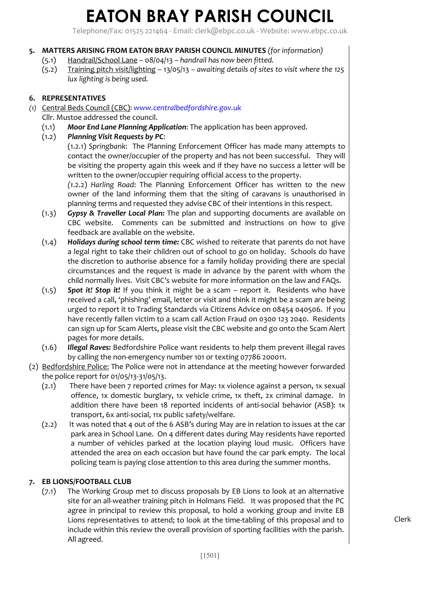Telephone/Fax: 01525 221464 - Email: clerk@ebpc.co.uk - Website: www.ebpc.co.uk

#### **5. MATTERS ARISING FROM EATON BRAY PARISH COUNCIL MINUTES** *(for information)*

- (5.1) Handrail/School Lane 08/04/13 *handrail has now been fitted.*
- (5.2) Training pitch visit/lighting 13/05/13 *awaiting details of sites to visit where the 125 lux lighting is being used.*

#### **6. REPRESENTATIVES**

- *(1)* Central Beds Council (CBC): *www.centralbedfordshire.gov.uk* 
	- Cllr. Mustoe addressed the council.
		- (1.1) *Moor End Lane Planning Application*: The application has been approved.
		- (1.2) *Planning Visit Requests by PC*:
			- (1.2.1) *Springbank*: The Planning Enforcement Officer has made many attempts to contact the owner/occupier of the property and has not been successful. They will be visiting the property again this week and if they have no success a letter will be written to the owner/occupier requiring official access to the property.

*(1*.2.2) *Harling Road*: The Planning Enforcement Officer has written to the new owner of the land informing them that the siting of caravans is unauthorised in planning terms and requested they advise CBC of their intentions in this respect.

- (1.3) *Gypsy & Traveller Local Plan:* The plan and supporting documents are available on CBC website. Comments can be submitted and instructions on how to give feedback are available on the website.
- (1.4) *Holidays during school term time:* CBC wished to reiterate that parents do not have a legal right to take their children out of school to go on holiday. Schools do have the discretion to authorise absence for a family holiday providing there are special circumstances and the request is made in advance by the parent with whom the child normally lives. Visit CBC's website for more information on the law and FAQs.
- (1.5) *Spot it! Stop it!* If you think it might be a scam report it. Residents who have received a call, 'phishing' email, letter or visit and think it might be a scam are being urged to report it to Trading Standards via Citizens Advice on 08454 040506. If you have recently fallen victim to a scam call Action Fraud on 0300 123 2040. Residents can sign up for Scam Alerts, please visit the CBC website and go onto the Scam Alert pages for more details.
- (1.6) *Illegal Raves:* Bedfordshire Police want residents to help them prevent illegal raves by calling the non-emergency number 101 or texting 07786 200011.
- (2) Bedfordshire Police: The Police were not in attendance at the meeting however forwarded the police report for 01/05/13-31/05/13.
	- (2.1) There have been 7 reported crimes for May: 1x violence against a person, 1x sexual offence, 1x domestic burglary, 1x vehicle crime, 1x theft, 2x criminal damage. In addition there have been 18 reported incidents of anti-social behavior (ASB): 1x transport, 6x anti-social, 11x public safety/welfare.
	- (2.2) It was noted that 4 out of the 6 ASB's during May are in relation to issues at the car park area in School Lane. On 4 different dates during May residents have reported a number of vehicles parked at the location playing loud music. Officers have attended the area on each occasion but have found the car park empty. The local policing team is paying close attention to this area during the summer months.

#### **7. EB LIONS/FOOTBALL CLUB**

(7.1) The Working Group met to discuss proposals by EB Lions to look at an alternative site for an all-weather training pitch in Holmans Field. It was proposed that the PC agree in principal to review this proposal, to hold a working group and invite EB Lions representatives to attend; to look at the time-tabling of this proposal and to include within this review the overall provision of sporting facilities with the parish. All agreed.

Clerk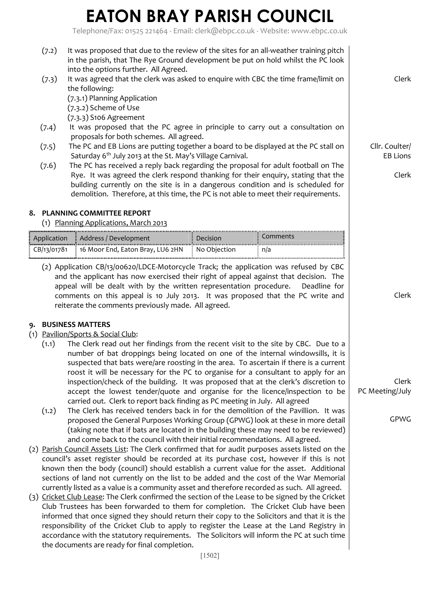Telephone/Fax: 01525 221464 - Email: clerk@ebpc.co.uk - Website: www.ebpc.co.uk

[1502] (7.2) It was proposed that due to the review of the sites for an all-weather training pitch in the parish, that The Rye Ground development be put on hold whilst the PC look into the options further. All Agreed. (7.3) It was agreed that the clerk was asked to enquire with CBC the time frame/limit on the following: (7.3.1) Planning Application (7.3.2) Scheme of Use (7.3.3) S106 Agreement (7.4) It was proposed that the PC agree in principle to carry out a consultation on proposals for both schemes. All agreed. (7.5) The PC and EB Lions are putting together a board to be displayed at the PC stall on Saturday 6<sup>th</sup> July 2013 at the St. May's Village Carnival. (7.6) The PC has received a reply back regarding the proposal for adult football on The Rye. It was agreed the clerk respond thanking for their enquiry, stating that the building currently on the site is in a dangerous condition and is scheduled for demolition. Therefore, at this time, the PC is not able to meet their requirements. **8. PLANNING COMMITTEE REPORT** (1) Planning Applications, March 2013 Application Address / Development Decision Comments  $\overline{CB/13/01781}$  16 Moor End, Eaton Bray, LU6 2HN  $\vdots$  No Objection  $\vdots$  n/a (2) Application CB/13/00620/LDCE-Motorcycle Track; the application was refused by CBC and the applicant has now exercised their right of appeal against that decision. The appeal will be dealt with by the written representation procedure. Deadline for comments on this appeal is 10 July 2013. It was proposed that the PC write and reiterate the comments previously made. All agreed. **9. BUSINESS MATTERS** (1) Pavilion/Sports & Social Club: (1.1) The Clerk read out her findings from the recent visit to the site by CBC. Due to a number of bat droppings being located on one of the internal windowsills, it is suspected that bats were/are roosting in the area. To ascertain if there is a current roost it will be necessary for the PC to organise for a consultant to apply for an inspection/check of the building. It was proposed that at the clerk's discretion to accept the lowest tender/quote and organise for the licence/inspection to be carried out. Clerk to report back finding as PC meeting in July. All agreed (1.2) The Clerk has received tenders back in for the demolition of the Pavillion. It was proposed the General Purposes Working Group (GPWG) look at these in more detail (taking note that if bats are located in the building these may need to be reviewed) and come back to the council with their initial recommendations. All agreed. (2) Parish Council Assets List: The Clerk confirmed that for audit purposes assets listed on the council's asset register should be recorded at its purchase cost, however if this is not known then the body (council) should establish a current value for the asset. Additional sections of land not currently on the list to be added and the cost of the War Memorial currently listed as a value is a community asset and therefore recorded as such. All agreed. (3) Cricket Club Lease: The Clerk confirmed the section of the Lease to be signed by the Cricket Club Trustees has been forwarded to them for completion. The Cricket Club have been informed that once signed they should return their copy to the Solicitors and that it is the responsibility of the Cricket Club to apply to register the Lease at the Land Registry in accordance with the statutory requirements. The Solicitors will inform the PC at such time the documents are ready for final completion. Clerk Cllr. Coulter/ EB Lions Clerk Clerk Clerk PC Meeting/July GPWG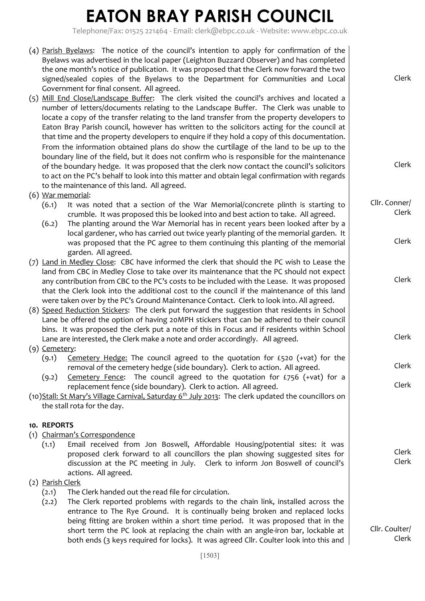Telephone/Fax: 01525 221464 - Email: clerk@ebpc.co.uk - Website: www.ebpc.co.uk

|                 | (4) Parish Byelaws: The notice of the council's intention to apply for confirmation of the<br>Byelaws was advertised in the local paper (Leighton Buzzard Observer) and has completed<br>the one month's notice of publication. It was proposed that the Clerk now forward the two<br>signed/sealed copies of the Byelaws to the Department for Communities and Local | Clerk                  |  |
|-----------------|-----------------------------------------------------------------------------------------------------------------------------------------------------------------------------------------------------------------------------------------------------------------------------------------------------------------------------------------------------------------------|------------------------|--|
|                 | Government for final consent. All agreed.<br>(5) Mill End Close/Landscape Buffer: The clerk visited the council's archives and located a<br>number of letters/documents relating to the Landscape Buffer. The Clerk was unable to                                                                                                                                     |                        |  |
|                 | locate a copy of the transfer relating to the land transfer from the property developers to                                                                                                                                                                                                                                                                           |                        |  |
|                 | Eaton Bray Parish council, however has written to the solicitors acting for the council at                                                                                                                                                                                                                                                                            |                        |  |
|                 | that time and the property developers to enquire if they hold a copy of this documentation.                                                                                                                                                                                                                                                                           |                        |  |
|                 | From the information obtained plans do show the curtilage of the land to be up to the<br>boundary line of the field, but it does not confirm who is responsible for the maintenance                                                                                                                                                                                   |                        |  |
|                 | of the boundary hedge. It was proposed that the clerk now contact the council's solicitors                                                                                                                                                                                                                                                                            | Clerk                  |  |
|                 | to act on the PC's behalf to look into this matter and obtain legal confirmation with regards                                                                                                                                                                                                                                                                         |                        |  |
|                 | to the maintenance of this land. All agreed.                                                                                                                                                                                                                                                                                                                          |                        |  |
|                 | (6) War memorial:                                                                                                                                                                                                                                                                                                                                                     |                        |  |
|                 | It was noted that a section of the War Memorial/concrete plinth is starting to<br>(6.1)<br>crumble. It was proposed this be looked into and best action to take. All agreed.                                                                                                                                                                                          | Cllr. Conner/<br>Clerk |  |
|                 | (6.2)<br>The planting around the War Memorial has in recent years been looked after by a                                                                                                                                                                                                                                                                              |                        |  |
|                 | local gardener, who has carried out twice yearly planting of the memorial garden. It<br>was proposed that the PC agree to them continuing this planting of the memorial                                                                                                                                                                                               | Clerk                  |  |
|                 | garden. All agreed.                                                                                                                                                                                                                                                                                                                                                   |                        |  |
|                 |                                                                                                                                                                                                                                                                                                                                                                       |                        |  |
|                 | (7) Land in Medley Close: CBC have informed the clerk that should the PC wish to Lease the<br>land from CBC in Medley Close to take over its maintenance that the PC should not expect                                                                                                                                                                                |                        |  |
|                 | any contribution from CBC to the PC's costs to be included with the Lease. It was proposed                                                                                                                                                                                                                                                                            | Clerk                  |  |
|                 | that the Clerk look into the additional cost to the council if the maintenance of this land                                                                                                                                                                                                                                                                           |                        |  |
|                 | were taken over by the PC's Ground Maintenance Contact. Clerk to look into. All agreed.                                                                                                                                                                                                                                                                               |                        |  |
|                 | (8) Speed Reduction Stickers: The clerk put forward the suggestion that residents in School<br>Lane be offered the option of having 20MPH stickers that can be adhered to their council                                                                                                                                                                               |                        |  |
|                 | bins. It was proposed the clerk put a note of this in Focus and if residents within School                                                                                                                                                                                                                                                                            |                        |  |
|                 | Lane are interested, the Clerk make a note and order accordingly. All agreed.                                                                                                                                                                                                                                                                                         | Clerk                  |  |
| $(9)$ Cemetery: |                                                                                                                                                                                                                                                                                                                                                                       |                        |  |
|                 | Cemetery Hedge: The council agreed to the quotation for £520 (+vat) for the<br>(9.1)                                                                                                                                                                                                                                                                                  |                        |  |
|                 | removal of the cemetery hedge (side boundary). Clerk to action. All agreed.                                                                                                                                                                                                                                                                                           | Clerk                  |  |
|                 | The council agreed to the quotation for $E$ 756 (+vat) for a<br>Cemetery Fence:<br>(9.2)                                                                                                                                                                                                                                                                              | Clerk                  |  |
|                 | replacement fence (side boundary). Clerk to action. All agreed.<br>(10)Stall: St Mary's Village Carnival, Saturday 6 <sup>th</sup> July 2013: The clerk updated the councillors on                                                                                                                                                                                    |                        |  |
|                 |                                                                                                                                                                                                                                                                                                                                                                       |                        |  |
|                 | the stall rota for the day.                                                                                                                                                                                                                                                                                                                                           |                        |  |
|                 | 10. REPORTS                                                                                                                                                                                                                                                                                                                                                           |                        |  |
|                 | (1) Chairman's Correspondence                                                                                                                                                                                                                                                                                                                                         |                        |  |
|                 | Email received from Jon Boswell, Affordable Housing/potential sites: it was<br>(1.1)                                                                                                                                                                                                                                                                                  |                        |  |
|                 | proposed clerk forward to all councillors the plan showing suggested sites for                                                                                                                                                                                                                                                                                        | Clerk                  |  |
|                 | discussion at the PC meeting in July.  Clerk to inform Jon Boswell of council's                                                                                                                                                                                                                                                                                       | Clerk                  |  |
|                 | actions. All agreed.                                                                                                                                                                                                                                                                                                                                                  |                        |  |
|                 | (2) Parish Clerk<br>The Clerk handed out the read file for circulation.<br>(2.1)                                                                                                                                                                                                                                                                                      |                        |  |
|                 | The Clerk reported problems with regards to the chain link, installed across the<br>(2.2)                                                                                                                                                                                                                                                                             |                        |  |
|                 | entrance to The Rye Ground. It is continually being broken and replaced locks                                                                                                                                                                                                                                                                                         |                        |  |
|                 | being fitting are broken within a short time period. It was proposed that in the                                                                                                                                                                                                                                                                                      |                        |  |
|                 | short term the PC look at replacing the chain with an angle-iron bar, lockable at                                                                                                                                                                                                                                                                                     | Cllr. Coulter/         |  |
|                 | both ends (3 keys required for locks). It was agreed Cllr. Coulter look into this and                                                                                                                                                                                                                                                                                 | Clerk                  |  |